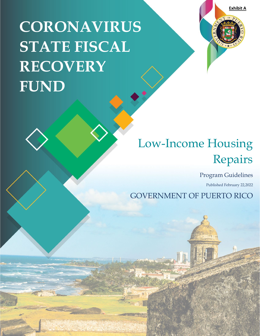**Exhibit A**

# **CORONAVIRUS STATE FISCAL RECOVERY FUND**



## Low-Income Housing Repairs

Program Guidelines

Published February 22,2022

GOVERNMENT OF PUERTO RICO

17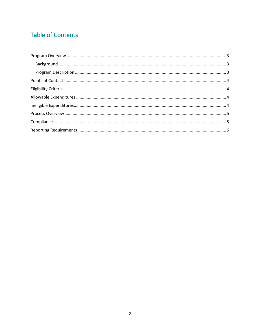## **Table of Contents**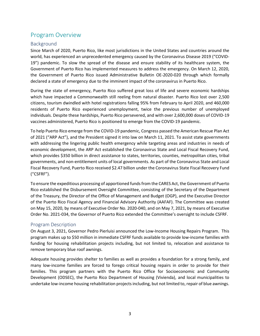## <span id="page-2-0"></span>Program Overview

#### <span id="page-2-1"></span>Background

Since March of 2020, Puerto Rico, like most jurisdictions in the United States and countries around the world, has experienced an unprecedented emergency caused by the Coronavirus Disease 2019 ("COVID-19") pandemic. To slow the spread of the disease and ensure stability of its healthcare system, the Government of Puerto Rico has implemented measures to address the emergency. On March 12, 2020, the Government of Puerto Rico issued Administrative Bulletin OE-2020-020 through which formally declared a state of emergency due to the imminent impact of the coronavirus in Puerto Rico.

During the state of emergency, Puerto Rico suffered great loss of life and severe economic hardships which have impacted a Commonwealth still reeling from natural disaster. Puerto Rico lost over 2,500 citizens, tourism dwindled with hotel registrations falling 95% from February to April 2020, and 460,000 residents of Puerto Rico experienced unemployment, twice the previous number of unemployed individuals. Despite these hardships, Puerto Rico persevered, and with over 2,600,000 doses of COVID-19 vaccines administered, Puerto Rico is positioned to emerge from the COVID-19 pandemic.

To help Puerto Rico emerge from the COVID-19 pandemic, Congress passed the American Rescue Plan Act of 2021 ("ARP Act"), and the President signed it into law on March 11, 2021. To assist state governments with addressing the lingering public health emergency while targeting areas and industries in needs of economic development, the ARP Act established the Coronavirus State and Local Fiscal Recovery Fund, which provides \$350 billion in direct assistance to states, territories, counties, metropolitan cities, tribal governments, and non-entitlement units of local governments. As part of the Coronavirus State and Local Fiscal Recovery Fund, Puerto Rico received \$2.47 billion under the Coronavirus State Fiscal Recovery Fund ("CSFRF").

To ensure the expeditious processing of apportioned funds from the CARES Act, the Government of Puerto Rico established the Disbursement Oversight Committee, consisting of the Secretary of the Department of the Treasury, the Director of the Office of Management and Budget (OGP), and the Executive Director of the Puerto Rico Fiscal Agency and Financial Advisory Authority (AAFAF). The Committee was created on May 15, 2020, by means of Executive Order No. 2020-040, and on May 7, 2021, by means of Executive Order No. 2021-034, the Governor of Puerto Rico extended the Committee's oversight to include CSFRF.

#### <span id="page-2-2"></span>Program Description

On August 3, 2021, Governor Pedro Pierluisi announced the Low-Income Housing Repairs Program. This program makes up to \$50 million in immediate CSFRF funds available to provide low-income families with funding for housing rehabilitation projects including, but not limited to, relocation and assistance to remove temporary blue roof awnings.

Adequate housing provides shelter to families as well as provides a foundation for a strong family, and many low-income families are forced to forego critical housing repairs in order to provide for their families. This program partners with the Puerto Rico Office for Socioeconomic and Community Development (ODSEC), the Puerto Rico Department of Housing (Vivienda), and local municipalities to undertake low-income housing rehabilitation projects including, but not limited to, repair of blue awnings.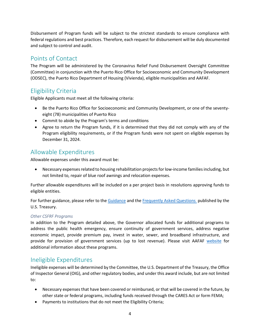Disbursement of Program funds will be subject to the strictest standards to ensure compliance with federal regulations and best practices. Therefore, each request for disbursement will be duly documented and subject to control and audit.

## <span id="page-3-0"></span>Points of Contact

The Program will be administered by the Coronavirus Relief Fund Disbursement Oversight Committee (Committee) in conjunction with the Puerto Rico Office for Socioeconomic and Community Development (ODSEC), the Puerto Rico Department of Housing (Vivienda), eligible municipalities and AAFAF.

## <span id="page-3-1"></span>Eligibility Criteria

Eligible Applicants must meet all the following criteria:

- Be the Puerto Rico Office for Socioeconomic and Community Development, or one of the seventyeight (78) municipalities of Puerto Rico
- Commit to abide by the Program's terms and conditions
- Agree to return the Program funds, if it is determined that they did not comply with any of the Program eligibility requirements, or if the Program funds were not spent on eligible expenses by December 31, 2024.

## <span id="page-3-2"></span>Allowable Expenditures

Allowable expenses under this award must be:

• Necessary expenses related to housing rehabilitation projects for low-income families including, but not limited to, repair of blue roof awnings and relocation expenses.

Further allowable expenditures will be included on a per project basis in resolutions approving funds to eligible entities.

For further guidance, please refer to the [Guidance](https://www.govinfo.gov/content/pkg/FR-2022-01-27/pdf/2022-00292.pdf) and th[e Frequently Asked Questions](https://home.treasury.gov/system/files/136/SLFRPFAQ.pdf) published by the U.S. Treasury.

#### *Other CSFRF Programs*

In addition to the Program detailed above, the Governor allocated funds for additional programs to address the public health emergency, ensure continuity of government services, address negative economic impact, provide premium pay, invest in water, sewer, and broadband infrastructure, and provide for provision of government services (up to lost revenue). Please visit AAFAF [website](https://www.aafaf.pr.gov/coronavirus-state-and-local-fiscal-recovery-funds/) for additional information about these programs.

## <span id="page-3-3"></span>Ineligible Expenditures

Ineligible expenses will be determined by the Committee, the U.S. Department of the Treasury, the Office of Inspector General (OIG), and other regulatory bodies, and under this award include, but are not limited to:

- Necessary expenses that have been covered or reimbursed, or that will be covered in the future, by other state or federal programs, including funds received through the CARES Act or form FEMA;
- Payments to institutions that do not meet the Eligibility Criteria;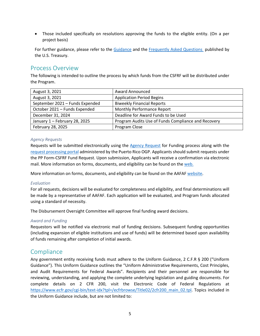• Those included specifically on resolutions approving the funds to the eligible entity. (On a per project basis)

For further guidance, please refer to the [Guidance](https://www.govinfo.gov/content/pkg/FR-2022-01-27/pdf/2022-00292.pdf) and the [Frequently Asked Questions](https://home.treasury.gov/system/files/136/SLFRPFAQ.pdf) published by the U.S. Treasury.

## <span id="page-4-0"></span>Process Overview

The following is intended to outline the process by which funds from the CSFRF will be distributed under the Program.

| August 3, 2021                  | <b>Award Announced</b>                              |
|---------------------------------|-----------------------------------------------------|
| August 3, 2021                  | <b>Application Period Begins</b>                    |
| September 2021 - Funds Expended | <b>Biweekly Financial Reports</b>                   |
| October 2021 - Funds Expended   | Monthly Performance Report                          |
| December 31, 2024               | Deadline for Award Funds to be Used                 |
| January 1 - February 28, 2025   | Program Audits Use of Funds Compliance and Recovery |
| February 28, 2025               | Program Close                                       |

#### *Agency Requests*

Requests will be submitted electronically using the [Agency Request](https://app.smartsheet.com/b/form/f4f6843eb8754855856741a4b073a89b) for Funding process along with the [request processing portal](https://ogp.pr.gov/Pages/Procesamiento-de-Planteamientos.aspx) administered by the Puerto Rico OGP. Applicants should submit requests under the PP Form-CSFRF Fund Request. Upon submission, Applicants will receive a confirmation via electronic mail. More information on forms, documents, and eligibility can be found on the [web.](https://www.aafaf.pr.gov/coronavirus-state-and-local-fiscal-recovery-funds/)

More information on forms, documents, and eligibility can be found on the AAFAF [website.](https://www.aafaf.pr.gov/coronavirus-state-and-local-fiscal-recovery-funds/)

#### *Evaluation*

For all requests, decisions will be evaluated for completeness and eligibility, and final determinations will be made by a representative of AAFAF. Each application will be evaluated, and Program funds allocated using a standard of necessity.

The Disbursement Oversight Committee will approve final funding award decisions.

#### *Award and Funding*

Requestors will be notified via electronic mail of funding decisions. Subsequent funding opportunities (including expansion of eligible institutions and use of funds) will be determined based upon availability of funds remaining after completion of initial awards.

### <span id="page-4-1"></span>**Compliance**

Any government entity receiving funds must adhere to the Uniform Guidance, 2 C.F.R § 200 ("Uniform Guidance"). This Uniform Guidance outlines the "Uniform Administrative Requirements, Cost Principles, and Audit Requirements for Federal Awards". Recipients and their personnel are responsible for reviewing, understanding, and applying the complete underlying legislation and guiding documents. For complete details on 2 CFR 200, visit the Electronic Code of Federal Regulations at [https://www.ecfr.gov/cgi-bin/text-idx?tpl=/ecfrbrowse/Title02/2cfr200\\_main\\_02.tpl.](https://www.ecfr.gov/cgi-bin/text-idx?tpl=/ecfrbrowse/Title02/2cfr200_main_02.tpl) Topics included in the Uniform Guidance include, but are not limited to: